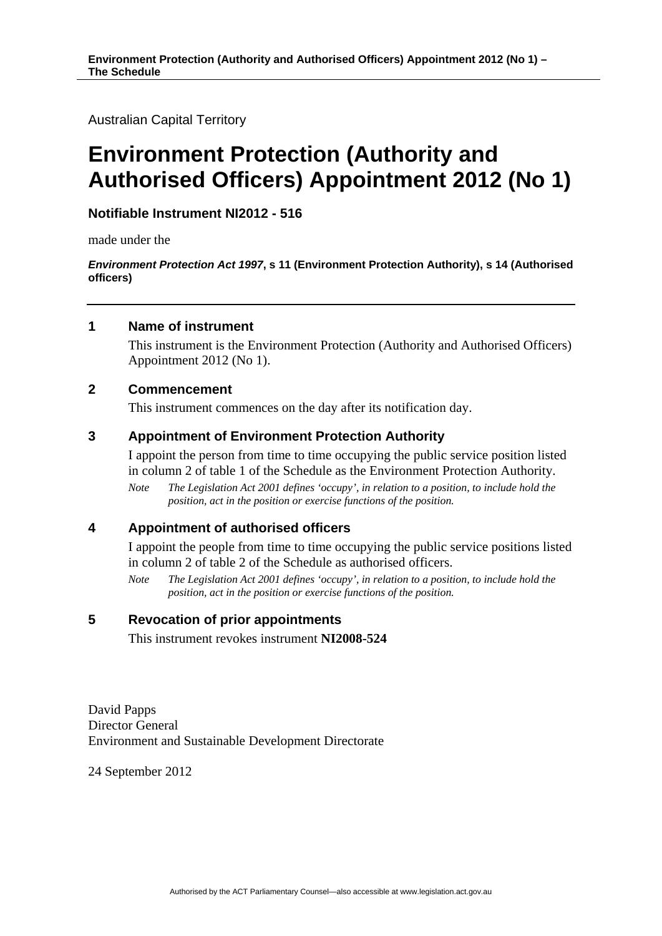Australian Capital Territory

# **Environment Protection (Authority and Authorised Officers) Appointment 2012 (No 1)**

# **Notifiable Instrument NI2012 - 516**

made under the

*Environment Protection Act 1997***, s 11 (Environment Protection Authority), s 14 (Authorised officers)** 

## **1 Name of instrument**

This instrument is the Environment Protection (Authority and Authorised Officers) Appointment 2012 (No 1).

## **2 Commencement**

This instrument commences on the day after its notification day.

# **3 Appointment of Environment Protection Authority**

I appoint the person from time to time occupying the public service position listed in column 2 of table 1 of the Schedule as the Environment Protection Authority.

*Note The Legislation Act 2001 defines 'occupy', in relation to a position, to include hold the position, act in the position or exercise functions of the position.* 

#### **4 Appointment of authorised officers**

I appoint the people from time to time occupying the public service positions listed in column 2 of table 2 of the Schedule as authorised officers.

*Note The Legislation Act 2001 defines 'occupy', in relation to a position, to include hold the position, act in the position or exercise functions of the position.* 

#### **5 Revocation of prior appointments**

This instrument revokes instrument **NI2008-524**

David Papps Director General Environment and Sustainable Development Directorate

24 September 2012